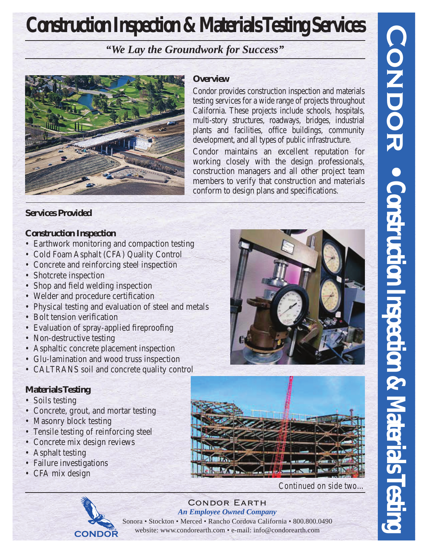# **Construction Inspection & Materials Testing Services**

*"We Lay the Groundwork for Success"*



## **Overview**

Condor provides construction inspection and materials testing services for a wide range of projects throughout California. These projects include schools, hospitals, multi-story structures, roadways, bridges, industrial plants and facilities, office buildings, community development, and all types of public infrastructure.

Condor maintains an excellent reputation for working closely with the design professionals, construction managers and all other project team members to verify that construction and materials conform to design plans and specifications.

# **Services Provided**

# **Construction Inspection**

- Earthwork monitoring and compaction testing
- Cold Foam Asphalt (CFA) Quality Control
- Concrete and reinforcing steel inspection
- Shotcrete inspection
- Shop and field welding inspection
- Welder and procedure certification
- Physical testing and evaluation of steel and metals
- Bolt tension verification
- Evaluation of spray-applied fireproofing
- Non-destructive testing
- Asphaltic concrete placement inspection
- Glu-lamination and wood truss inspection
- CALTRANS soil and concrete quality control

# **Materials Testing**

- Soils testing
- Concrete, grout, and mortar testing
- Masonry block testing
- Tensile testing of reinforcing steel
- Concrete mix design reviews
- Asphalt testing
- Failure investigations
- CFA mix design



*Continued on side two…*

#### Condor Earth *An Employee Owned Company* Sonora • Stockton • Merced • Rancho Cordova California • 800.800.0490 website: www.condorearth.com • e-mail: info@condorearth.com